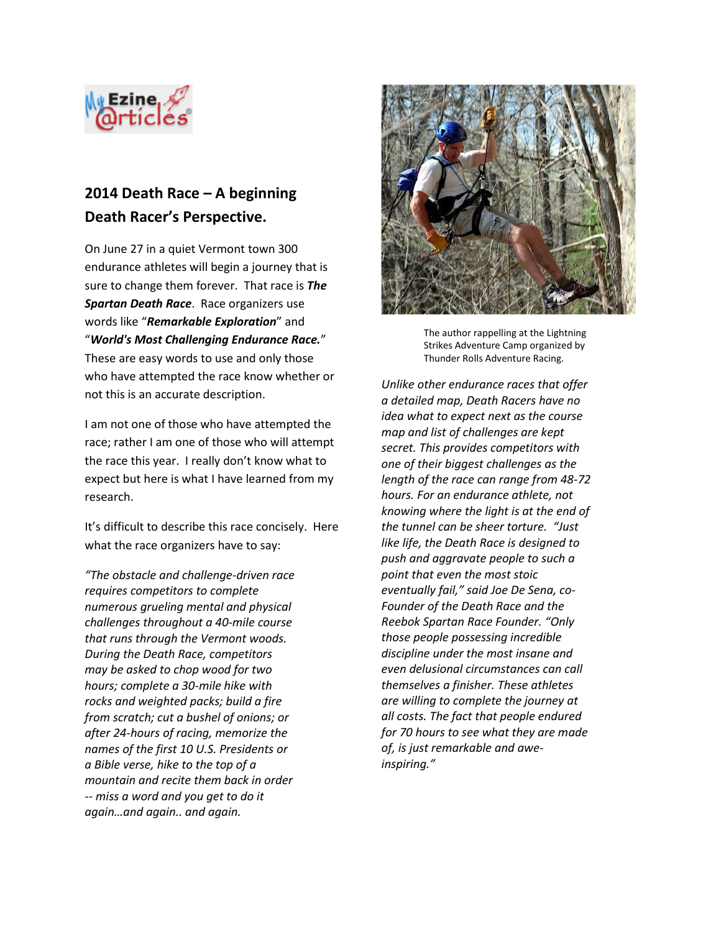

## **2014 Death Race – A beginning Death Racer's Perspective.**

On June 27 in a quiet Vermont town 300 endurance athletes will begin a journey that is sure to change them forever. That race is *The Spartan Death Race*. Race organizers use words like "*Remarkable Exploration*" and "*World's Most Challenging Endurance Race.*" These are easy words to use and only those who have attempted the race know whether or not this is an accurate description.

I am not one of those who have attempted the race; rather I am one of those who will attempt the race this year. I really don't know what to expect but here is what I have learned from my research.

It's difficult to describe this race concisely. Here what the race organizers have to say:

*"The obstacle and challenge-driven race requires competitors to complete numerous grueling mental and physical challenges throughout a 40-mile course that runs through the Vermont woods. During the Death Race, competitors may be asked to chop wood for two hours; complete a 30-mile hike with rocks and weighted packs; build a fire from scratch; cut a bushel of onions; or after 24-hours of racing, memorize the names of the first 10 U.S. Presidents or a Bible verse, hike to the top of a mountain and recite them back in order -- miss a word and you get to do it again…and again.. and again.* 



The author rappelling at the Lightning Strikes Adventure Camp organized by Thunder Rolls Adventure Racing.

*Unlike other endurance races that offer a detailed map, Death Racers have no idea what to expect next as the course map and list of challenges are kept secret. This provides competitors with one of their biggest challenges as the length of the race can range from 48-72 hours. For an endurance athlete, not knowing where the light is at the end of the tunnel can be sheer torture. "Just like life, the Death Race is designed to push and aggravate people to such a point that even the most stoic eventually fail," said Joe De Sena, co-Founder of the Death Race and the Reebok Spartan Race Founder. "Only those people possessing incredible discipline under the most insane and even delusional circumstances can call themselves a finisher. These athletes are willing to complete the journey at all costs. The fact that people endured for 70 hours to see what they are made of, is just remarkable and aweinspiring."*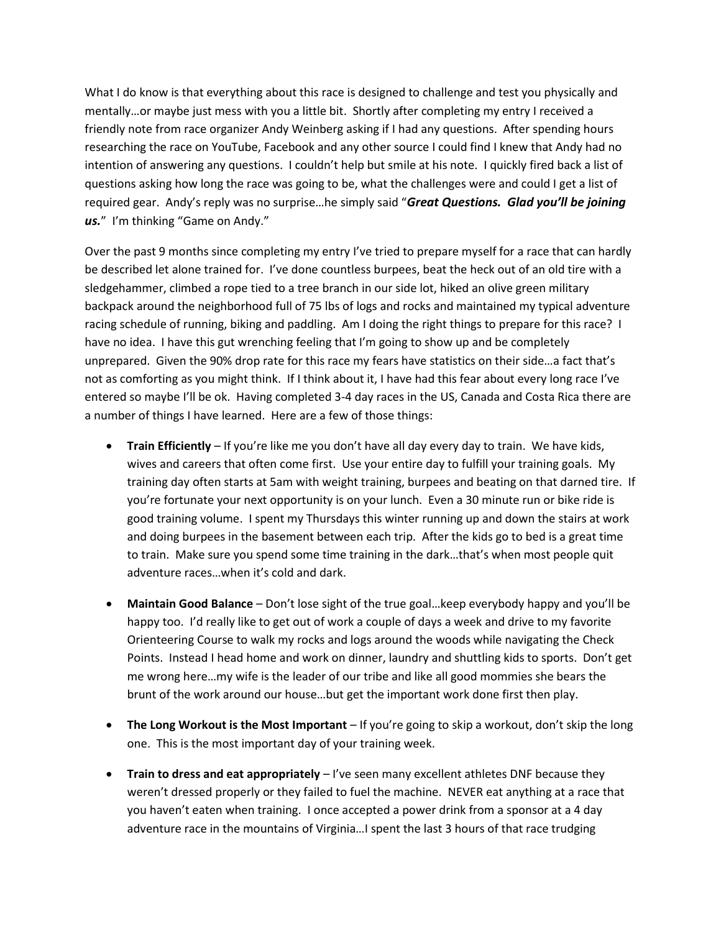What I do know is that everything about this race is designed to challenge and test you physically and mentally…or maybe just mess with you a little bit. Shortly after completing my entry I received a friendly note from race organizer Andy Weinberg asking if I had any questions. After spending hours researching the race on YouTube, Facebook and any other source I could find I knew that Andy had no intention of answering any questions. I couldn't help but smile at his note. I quickly fired back a list of questions asking how long the race was going to be, what the challenges were and could I get a list of required gear. Andy's reply was no surprise…he simply said "*Great Questions. Glad you'll be joining us.*" I'm thinking "Game on Andy."

Over the past 9 months since completing my entry I've tried to prepare myself for a race that can hardly be described let alone trained for. I've done countless burpees, beat the heck out of an old tire with a sledgehammer, climbed a rope tied to a tree branch in our side lot, hiked an olive green military backpack around the neighborhood full of 75 lbs of logs and rocks and maintained my typical adventure racing schedule of running, biking and paddling. Am I doing the right things to prepare for this race? I have no idea. I have this gut wrenching feeling that I'm going to show up and be completely unprepared. Given the 90% drop rate for this race my fears have statistics on their side…a fact that's not as comforting as you might think. If I think about it, I have had this fear about every long race I've entered so maybe I'll be ok. Having completed 3-4 day races in the US, Canada and Costa Rica there are a number of things I have learned. Here are a few of those things:

- **Train Efficiently** If you're like me you don't have all day every day to train. We have kids, wives and careers that often come first. Use your entire day to fulfill your training goals. My training day often starts at 5am with weight training, burpees and beating on that darned tire. If you're fortunate your next opportunity is on your lunch. Even a 30 minute run or bike ride is good training volume. I spent my Thursdays this winter running up and down the stairs at work and doing burpees in the basement between each trip. After the kids go to bed is a great time to train. Make sure you spend some time training in the dark…that's when most people quit adventure races…when it's cold and dark.
- **Maintain Good Balance**  Don't lose sight of the true goal…keep everybody happy and you'll be happy too. I'd really like to get out of work a couple of days a week and drive to my favorite Orienteering Course to walk my rocks and logs around the woods while navigating the Check Points. Instead I head home and work on dinner, laundry and shuttling kids to sports. Don't get me wrong here…my wife is the leader of our tribe and like all good mommies she bears the brunt of the work around our house…but get the important work done first then play.
- **The Long Workout is the Most Important**  If you're going to skip a workout, don't skip the long one. This is the most important day of your training week.
- **Train to dress and eat appropriately** I've seen many excellent athletes DNF because they weren't dressed properly or they failed to fuel the machine. NEVER eat anything at a race that you haven't eaten when training. I once accepted a power drink from a sponsor at a 4 day adventure race in the mountains of Virginia…I spent the last 3 hours of that race trudging